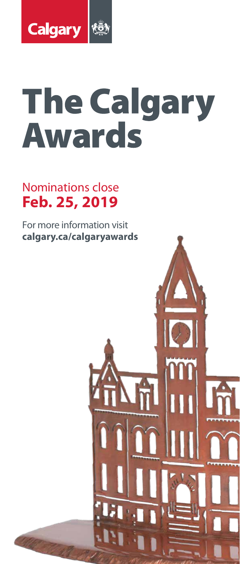

# **The Calgary Awards**

### Nominations close **Feb. 25, 2019**

For more information visit **calgary.ca/calgaryawards**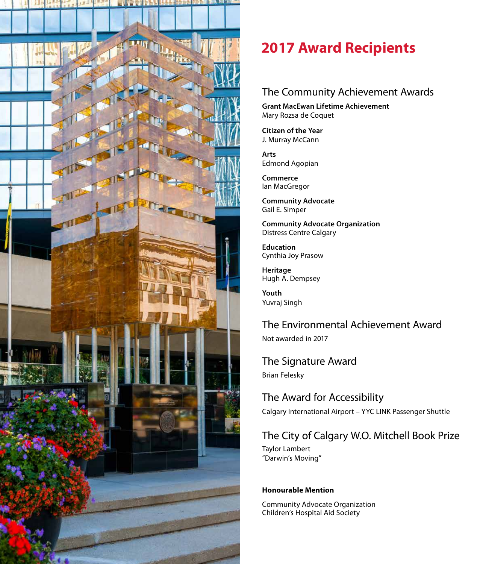

### **2017 Award Recipients**

#### The Community Achievement Awards

**Grant MacEwan Lifetime Achievement** Mary Rozsa de Coquet

**Citizen of the Year** J. Murray McCann

**Arts** Edmond Agopian

**Commerce** Ian MacGregor

**Community Advocate** Gail E. Simper

**Community Advocate Organization**  Distress Centre Calgary

**Education** Cynthia Joy Prasow

**Heritage** Hugh A. Dempsey

**Youth** Yuvraj Singh

The Environmental Achievement Award Not awarded in 2017

The Signature Award Brian Felesky

The Award for Accessibility Calgary International Airport – YYC LINK Passenger Shuttle

#### The City of Calgary W.O. Mitchell Book Prize

Taylor Lambert "Darwin's Moving"

#### **Honourable Mention**

Community Advocate Organization Children's Hospital Aid Society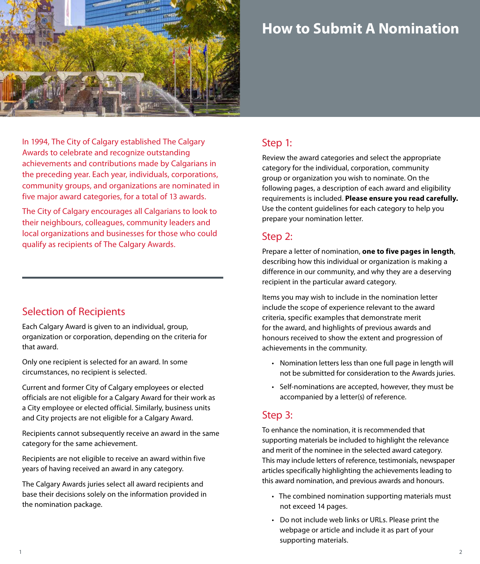

### **How to Submit A Nomination**

In 1994, The City of Calgary established The Calgary Awards to celebrate and recognize outstanding achievements and contributions made by Calgarians in the preceding year. Each year, individuals, corporations, community groups, and organizations are nominated in five major award categories, for a total of 13 awards.

The City of Calgary encourages all Calgarians to look to their neighbours, colleagues, community leaders and local organizations and businesses for those who could qualify as recipients of The Calgary Awards.

#### Selection of Recipients

Each Calgary Award is given to an individual, group, organization or corporation, depending on the criteria for that award.

Only one recipient is selected for an award. In some circumstances, no recipient is selected.

Current and former City of Calgary employees or elected officials are not eligible for a Calgary Award for their work as a City employee or elected official. Similarly, business units and City projects are not eligible for a Calgary Award.

Recipients cannot subsequently receive an award in the same category for the same achievement.

Recipients are not eligible to receive an award within five years of having received an award in any category.

The Calgary Awards juries select all award recipients and base their decisions solely on the information provided in the nomination package.

#### Step 1:

Review the award categories and select the appropriate category for the individual, corporation, community group or organization you wish to nominate. On the following pages, a description of each award and eligibility requirements is included. **Please ensure you read carefully.** Use the content guidelines for each category to help you prepare your nomination letter.

#### Step 2:

Prepare a letter of nomination, **one to five pages in length**, describing how this individual or organization is making a difference in our community, and why they are a deserving recipient in the particular award category.

Items you may wish to include in the nomination letter include the scope of experience relevant to the award criteria, specific examples that demonstrate merit for the award, and highlights of previous awards and honours received to show the extent and progression of achievements in the community.

- Nomination letters less than one full page in length will not be submitted for consideration to the Awards juries.
- Self-nominations are accepted, however, they must be accompanied by a letter(s) of reference.

#### Step 3:

To enhance the nomination, it is recommended that supporting materials be included to highlight the relevance and merit of the nominee in the selected award category. This may include letters of reference, testimonials, newspaper articles specifically highlighting the achievements leading to this award nomination, and previous awards and honours.

- The combined nomination supporting materials must not exceed 14 pages.
- Do not include web links or URLs. Please print the webpage or article and include it as part of your supporting materials.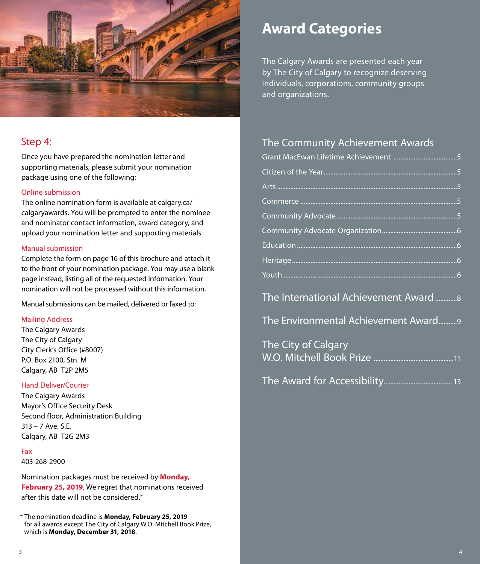

#### Step 4:

Once you have prepared the nomination letter and supporting materials, please submit your nomination package using one of the following:

#### Online submission

The online nomination form is available at calgary.ca/ calgaryawards. You will be prompted to enter the nominee and nominator contact information, award category, and upload your nomination letter and supporting materials.

#### Manual submission

Complete the form on page 16 of this brochure and attach it to the front of your nomination package. You may use a blank page instead, listing all of the requested information. Your nomination will not be processed without this information.

Manual submissions can be mailed, delivered or faxed to:

#### Mailing Address

The Calgary Awards The City of Calgary City Clerk's Office (#8007) P.O. Box 2100, Stn. M Calgary, AB T2P 2M5

#### Hand Deliver/Courier

The Calgary Awards Mayor's Office Security Desk Second floor, Administration Building 313 – 7 Ave. S.E. Calgary, AB T2G 2M3

#### Fax

403-268-2900

Nomination packages must be received by **Monday, February 25, 2019**. We regret that nominations received after this date will not be considered.\*

### **Award Categories**

The Calgary Awards are presented each year by The City of Calgary to recognize deserving individuals, corporations, community groups and organizations.

#### The Community Achievement Awards

| The International Achievement Award 8 |
|---------------------------------------|
| The Environmental Achievement Award9  |
| The City of Calgary                   |
|                                       |

<sup>\*</sup> The nomination deadline is **Monday, February 25, 2019**  for all awards except The City of Calgary W.O. Mitchell Book Prize, which is **Monday, December 31, 2018**.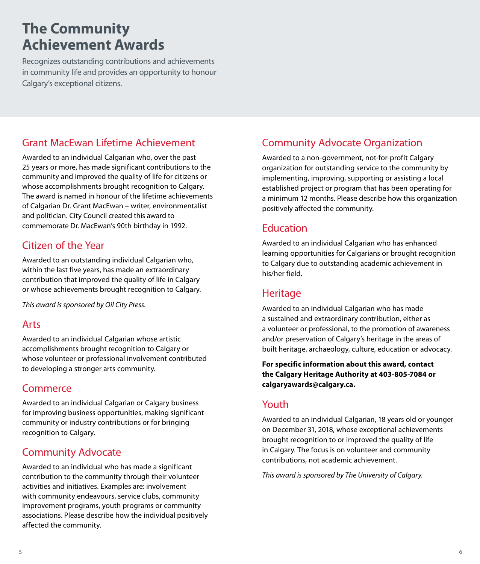### **The Community Achievement Awards**

Recognizes outstanding contributions and achievements in community life and provides an opportunity to honour Calgary's exceptional citizens.

#### Grant MacEwan Lifetime Achievement

Awarded to an individual Calgarian who, over the past 25 years or more, has made significant contributions to the community and improved the quality of life for citizens or whose accomplishments brought recognition to Calgary. The award is named in honour of the lifetime achievements of Calgarian Dr. Grant MacEwan – writer, environmentalist and politician. City Council created this award to commemorate Dr. MacEwan's 90th birthday in 1992.

#### Citizen of the Year

Awarded to an outstanding individual Calgarian who, within the last five years, has made an extraordinary contribution that improved the quality of life in Calgary or whose achievements brought recognition to Calgary.

*This award is sponsored by Oil City Press.*

#### Arts

Awarded to an individual Calgarian whose artistic accomplishments brought recognition to Calgary or whose volunteer or professional involvement contributed to developing a stronger arts community.

#### **Commerce**

Awarded to an individual Calgarian or Calgary business for improving business opportunities, making significant community or industry contributions or for bringing recognition to Calgary.

#### Community Advocate

Awarded to an individual who has made a significant contribution to the community through their volunteer activities and initiatives. Examples are: involvement with community endeavours, service clubs, community improvement programs, youth programs or community associations. Please describe how the individual positively affected the community.

#### Community Advocate Organization

Awarded to a non-government, not-for-profit Calgary organization for outstanding service to the community by implementing, improving, supporting or assisting a local established project or program that has been operating for a minimum 12 months. Please describe how this organization positively affected the community.

#### Education

Awarded to an individual Calgarian who has enhanced learning opportunities for Calgarians or brought recognition to Calgary due to outstanding academic achievement in his/her field.

#### Heritage

Awarded to an individual Calgarian who has made a sustained and extraordinary contribution, either as a volunteer or professional, to the promotion of awareness and/or preservation of Calgary's heritage in the areas of built heritage, archaeology, culture, education or advocacy.

**For specific information about this award, contact the Calgary Heritage Authority at 403-805-7084 or calgaryawards@calgary.ca.**

#### Youth

Awarded to an individual Calgarian, 18 years old or younger on December 31, 2018, whose exceptional achievements brought recognition to or improved the quality of life in Calgary. The focus is on volunteer and community contributions, not academic achievement.

*This award is sponsored by The University of Calgary.*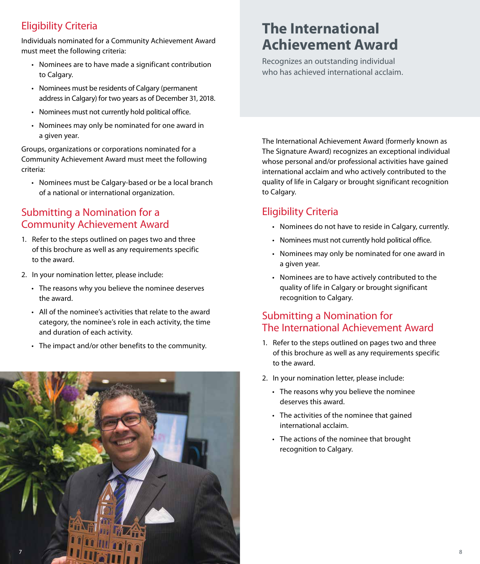#### Eligibility Criteria

Individuals nominated for a Community Achievement Award must meet the following criteria:

- Nominees are to have made a significant contribution to Calgary.
- Nominees must be residents of Calgary (permanent address in Calgary) for two years as of December 31, 2018.
- Nominees must not currently hold political office.
- Nominees may only be nominated for one award in a given year.

Groups, organizations or corporations nominated for a Community Achievement Award must meet the following criteria:

• Nominees must be Calgary-based or be a local branch of a national or international organization.

#### Submitting a Nomination for a Community Achievement Award

- 1. Refer to the steps outlined on pages two and three of this brochure as well as any requirements specific to the award.
- 2. In your nomination letter, please include:
	- The reasons why you believe the nominee deserves the award.
	- All of the nominee's activities that relate to the award category, the nominee's role in each activity, the time and duration of each activity.
	- The impact and/or other benefits to the community.



## **The International Achievement Award**

Recognizes an outstanding individual who has achieved international acclaim.

The International Achievement Award (formerly known as The Signature Award) recognizes an exceptional individual whose personal and/or professional activities have gained international acclaim and who actively contributed to the quality of life in Calgary or brought significant recognition to Calgary.

#### Eligibility Criteria

- Nominees do not have to reside in Calgary, currently.
- Nominees must not currently hold political office.
- Nominees may only be nominated for one award in a given year.
- Nominees are to have actively contributed to the quality of life in Calgary or brought significant recognition to Calgary.

#### Submitting a Nomination for The International Achievement Award

- 1. Refer to the steps outlined on pages two and three of this brochure as well as any requirements specific to the award.
- 2. In your nomination letter, please include:
	- The reasons why you believe the nominee deserves this award.
	- The activities of the nominee that gained international acclaim.
	- The actions of the nominee that brought recognition to Calgary.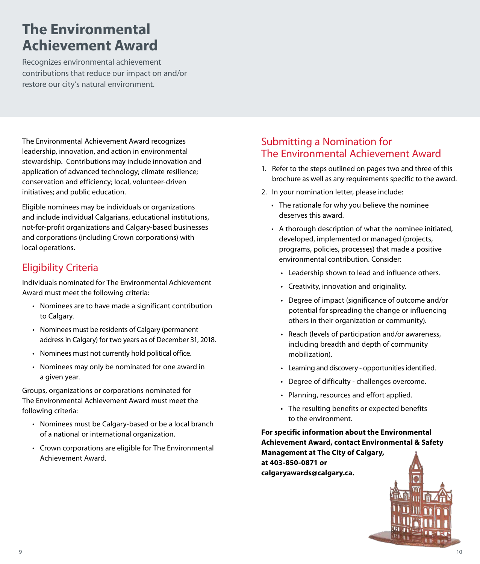### **The Environmental Achievement Award**

Recognizes environmental achievement contributions that reduce our impact on and/or restore our city's natural environment.

The Environmental Achievement Award recognizes leadership, innovation, and action in environmental stewardship. Contributions may include innovation and application of advanced technology; climate resilience; conservation and efficiency; local, volunteer-driven initiatives; and public education.

Eligible nominees may be individuals or organizations and include individual Calgarians, educational institutions, not-for-profit organizations and Calgary-based businesses and corporations (including Crown corporations) with local operations.

#### Eligibility Criteria

Individuals nominated for The Environmental Achievement Award must meet the following criteria:

- Nominees are to have made a significant contribution to Calgary.
- Nominees must be residents of Calgary (permanent address in Calgary) for two years as of December 31, 2018.
- Nominees must not currently hold political office.
- Nominees may only be nominated for one award in a given year.

Groups, organizations or corporations nominated for The Environmental Achievement Award must meet the following criteria:

- Nominees must be Calgary-based or be a local branch of a national or international organization.
- Crown corporations are eligible for The Environmental Achievement Award.

#### Submitting a Nomination for The Environmental Achievement Award

- 1. Refer to the steps outlined on pages two and three of this brochure as well as any requirements specific to the award.
- 2. In your nomination letter, please include:
	- The rationale for why you believe the nominee deserves this award.
	- A thorough description of what the nominee initiated, developed, implemented or managed (projects, programs, policies, processes) that made a positive environmental contribution. Consider:
		- Leadership shown to lead and influence others.
		- Creativity, innovation and originality.
		- Degree of impact (significance of outcome and/or potential for spreading the change or influencing others in their organization or community).
		- Reach (levels of participation and/or awareness, including breadth and depth of community mobilization).
		- Learning and discovery opportunities identified.
		- Degree of difficulty challenges overcome.
		- Planning, resources and effort applied.
		- The resulting benefits or expected benefits to the environment.

**For specific information about the Environmental Achievement Award, contact Environmental & Safety Management at The City of Calgary, at 403-850-0871 or calgaryawards@calgary.ca.**

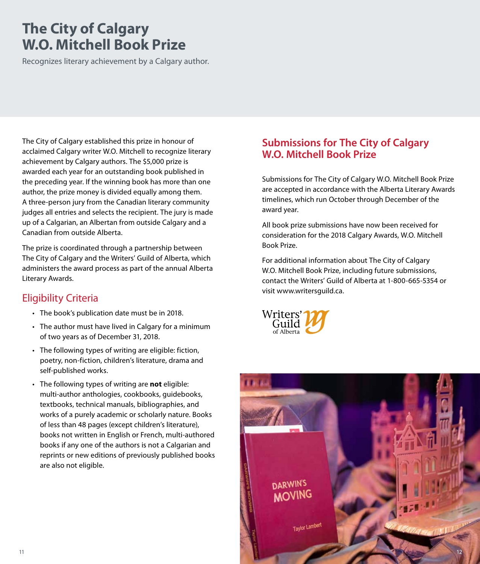### **The City of Calgary W.O. Mitchell Book Prize**

Recognizes literary achievement by a Calgary author.

The City of Calgary established this prize in honour of acclaimed Calgary writer W.O. Mitchell to recognize literary achievement by Calgary authors. The \$5,000 prize is awarded each year for an outstanding book published in the preceding year. If the winning book has more than one author, the prize money is divided equally among them. A three-person jury from the Canadian literary community judges all entries and selects the recipient. The jury is made up of a Calgarian, an Albertan from outside Calgary and a Canadian from outside Alberta.

The prize is coordinated through a partnership between The City of Calgary and the Writers' Guild of Alberta, which administers the award process as part of the annual Alberta Literary Awards.

#### Eligibility Criteria

- The book's publication date must be in 2018.
- The author must have lived in Calgary for a minimum of two years as of December 31, 2018.
- The following types of writing are eligible: fiction, poetry, non-fiction, children's literature, drama and self-published works.
- The following types of writing are **not** eligible: multi-author anthologies, cookbooks, guidebooks, textbooks, technical manuals, bibliographies, and works of a purely academic or scholarly nature. Books of less than 48 pages (except children's literature), books not written in English or French, multi-authored books if any one of the authors is not a Calgarian and reprints or new editions of previously published books are also not eligible.

#### **Submissions for The City of Calgary W.O. Mitchell Book Prize**

Submissions for The City of Calgary W.O. Mitchell Book Prize are accepted in accordance with the Alberta Literary Awards timelines, which run October through December of the award year.

All book prize submissions have now been received for consideration for the 2018 Calgary Awards, W.O. Mitchell Book Prize.

For additional information about The City of Calgary W.O. Mitchell Book Prize, including future submissions, contact the Writers' Guild of Alberta at 1-800-665-5354 or visit www.writersguild.ca.



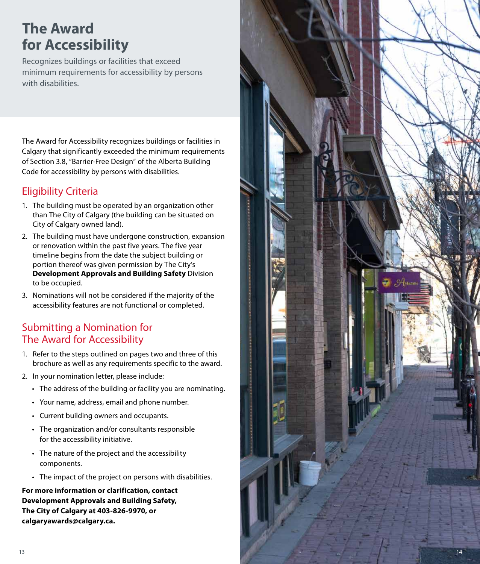## **The Award for Accessibility**

Recognizes buildings or facilities that exceed minimum requirements for accessibility by persons with disabilities.

The Award for Accessibility recognizes buildings or facilities in Calgary that significantly exceeded the minimum requirements of Section 3.8, "Barrier-Free Design" of the Alberta Building Code for accessibility by persons with disabilities.

#### Eligibility Criteria

- 1. The building must be operated by an organization other than The City of Calgary (the building can be situated on City of Calgary owned land).
- 2. The building must have undergone construction, expansion or renovation within the past five years. The five year timeline begins from the date the subject building or portion thereof was given permission by The City's **Development Approvals and Building Safety** Division to be occupied.
- 3. Nominations will not be considered if the majority of the accessibility features are not functional or completed.

#### Submitting a Nomination for The Award for Accessibility

- 1. Refer to the steps outlined on pages two and three of this brochure as well as any requirements specific to the award.
- 2. In your nomination letter, please include:
	- The address of the building or facility you are nominating.
	- Your name, address, email and phone number.
	- Current building owners and occupants.
	- The organization and/or consultants responsible for the accessibility initiative.
	- The nature of the project and the accessibility components.
	- The impact of the project on persons with disabilities.

**For more information or clarification, contact Development Approvals and Building Safety, The City of Calgary at 403-826-9970, or calgaryawards@calgary.ca.**

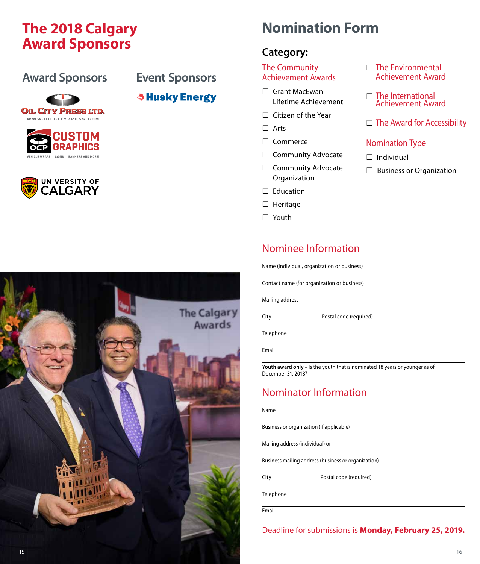### **The 2018 Calgary Calgary Romination Form Award Sponsors**

#### **Award Sponsors Event Sponsors**

*<b>Shusky Energy* 









#### **Category:**

#### The Community Achievement Awards

- □ Grant MacEwan Lifetime Achievement
- $\Box$  Citizen of the Year

Arts

- □ Commerce
- $\Box$  Community Advocate
- $\Box$  Community Advocate Organization
- $\square$  Education
- $\Box$  Heritage
- □ Youth

#### Nominee Information

Name (individual, organization or business)

Contact name (for organization or business)

Mailing address

City Postal code (required)

**Telephone** 

Email

**Youth award only –** Is the youth that is nominated 18 years or younger as of December 31, 2018?

#### Nominator Information

#### Name

Business or organization (if applicable)

Mailing address (individual) or

Business mailing address (business or organization)

City Postal code (required)

**Telephone** 

Email

Deadline for submissions is **Monday, February 25, 2019.**

- $\Box$  The Environmental Achievement Award
- $\Box$  The International Achievement Award
- $\Box$  The Award for Accessibility

#### Nomination Type

- $\Box$  Individual
- $\Box$  Business or Organization